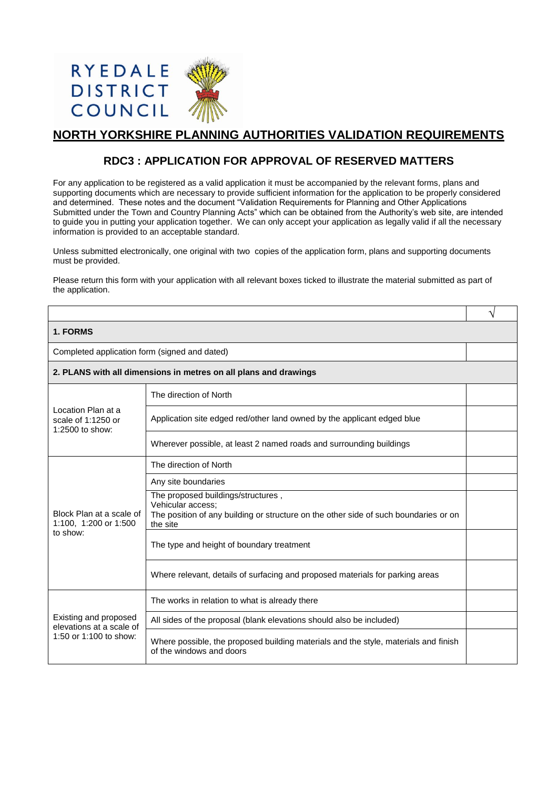

## **NORTH YORKSHIRE PLANNING AUTHORITIES VALIDATION REQUIREMENTS**

## **RDC3 : APPLICATION FOR APPROVAL OF RESERVED MATTERS**

For any application to be registered as a valid application it must be accompanied by the relevant forms, plans and supporting documents which are necessary to provide sufficient information for the application to be properly considered and determined. These notes and the document "Validation Requirements for Planning and Other Applications Submitted under the Town and Country Planning Acts" which can be obtained from the Authority's web site, are intended to guide you in putting your application together. We can only accept your application as legally valid if all the necessary information is provided to an acceptable standard.

Unless submitted electronically, one original with two copies of the application form, plans and supporting documents must be provided.

Please return this form with your application with all relevant boxes ticked to illustrate the material submitted as part of the application.

√

Completed application form (signed and dated)

| 2. PLANS with all dimensions in metres on all plans and drawings |  |
|------------------------------------------------------------------|--|
|------------------------------------------------------------------|--|

| Location Plan at a<br>scale of 1:1250 or<br>1:2500 to show:                 | The direction of North                                                                                                                                      |  |
|-----------------------------------------------------------------------------|-------------------------------------------------------------------------------------------------------------------------------------------------------------|--|
|                                                                             | Application site edged red/other land owned by the applicant edged blue                                                                                     |  |
|                                                                             | Wherever possible, at least 2 named roads and surrounding buildings                                                                                         |  |
| Block Plan at a scale of<br>1:100, 1:200 or 1:500<br>to show:               | The direction of North                                                                                                                                      |  |
|                                                                             | Any site boundaries                                                                                                                                         |  |
|                                                                             | The proposed buildings/structures,<br>Vehicular access;<br>The position of any building or structure on the other side of such boundaries or on<br>the site |  |
|                                                                             | The type and height of boundary treatment                                                                                                                   |  |
|                                                                             | Where relevant, details of surfacing and proposed materials for parking areas                                                                               |  |
| Existing and proposed<br>elevations at a scale of<br>1:50 or 1:100 to show: | The works in relation to what is already there                                                                                                              |  |
|                                                                             | All sides of the proposal (blank elevations should also be included)                                                                                        |  |
|                                                                             | Where possible, the proposed building materials and the style, materials and finish<br>of the windows and doors                                             |  |
|                                                                             |                                                                                                                                                             |  |